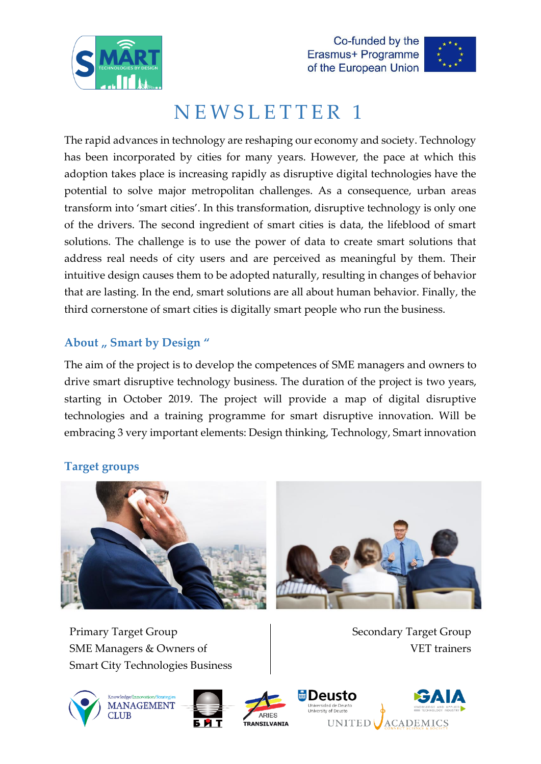





# NEWSLETTER 1

The rapid advances in technology are reshaping our economy and society. Technology has been incorporated by cities for many years. However, the pace at which this adoption takes place is increasing rapidly as disruptive digital technologies have the potential to solve major metropolitan challenges. As a consequence, urban areas transform into 'smart cities'. In this transformation, disruptive technology is only one of the drivers. The second ingredient of smart cities is data, the lifeblood of smart solutions. The challenge is to use the power of data to create smart solutions that address real needs of city users and are perceived as meaningful by them. Their intuitive design causes them to be adopted naturally, resulting in changes of behavior that are lasting. In the end, smart solutions are all about human behavior. Finally, the third cornerstone of smart cities is digitally smart people who run the business.

#### About , Smart by Design "

The aim of the project is to develop the competences of SME managers and owners to drive smart disruptive technology business. The duration of the project is two years, starting in October 2019. The project will provide a map of digital disruptive technologies and a training programme for smart disruptive innovation. Will be embracing 3 very important elements: Design thinking, Technology, Smart innovation

### **Target groups**



Primary Target Group SME Managers & Owners of Smart City Technologies Business

Secondary Target Group VET trainers







**Deusto** 

**UNITED** 

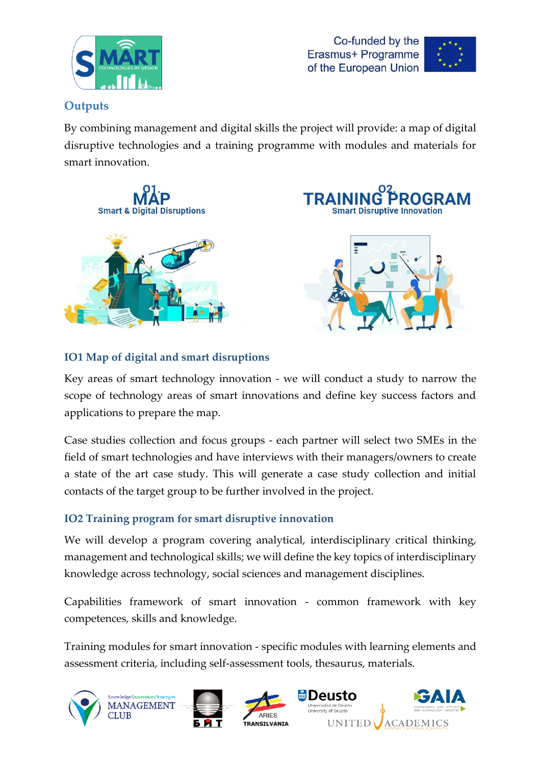





#### **Outputs**

By combining management and digital skills the project will provide: a map of digital disruptive technologies and a training programme with modules and materials for smart innovation.







#### **IO1 Map of digital and smart disruptions**

Key areas of smart technology innovation - we will conduct a study to narrow the scope of technology areas of smart innovations and define key success factors and applications to prepare the map.

Case studies collection and focus groups - each partner will select two SMEs in the field of smart technologies and have interviews with their managers/owners to create a state of the art case study. This will generate a case study collection and initial contacts of the target group to be further involved in the project.

#### **IO2 Training program for smart disruptive innovation**

We will develop a program covering analytical, interdisciplinary critical thinking, management and technological skills; we will define the key topics of interdisciplinary knowledge across technology, social sciences and management disciplines.

Capabilities framework of smart innovation - common framework with key competences, skills and knowledge.

Training modules for smart innovation - specific modules with learning elements and assessment criteria, including self-assessment tools, thesaurus, materials.

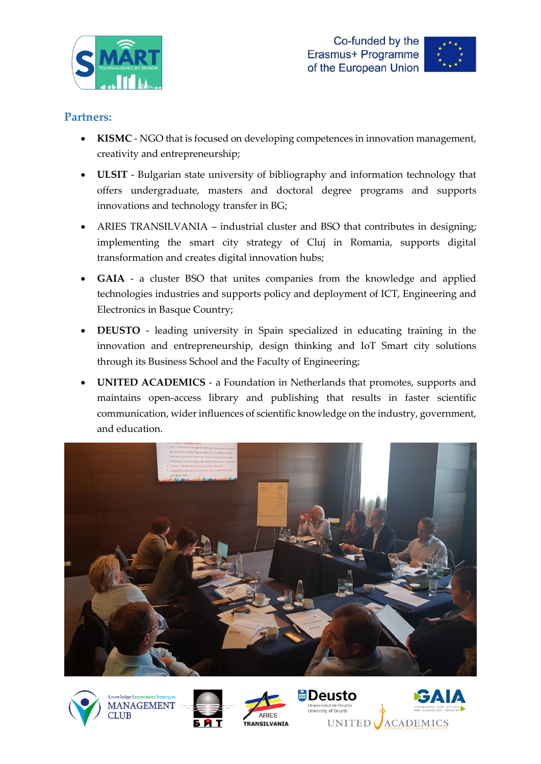





#### **Partners:**

- **KISMC** NGO that is focused on developing competences in innovation management, creativity and entrepreneurship;
- **ULSIT** Bulgarian state university of bibliography and information technology that offers undergraduate, masters and doctoral degree programs and supports innovations and technology transfer in BG;
- ARIES TRANSILVANIA industrial cluster and BSO that contributes in designing; implementing the smart city strategy of Cluj in Romania, supports digital transformation and creates digital innovation hubs;
- **GAIA** a cluster BSO that unites companies from the knowledge and applied technologies industries and supports policy and deployment of ICT, Engineering and Electronics in Basque Country;
- **DEUSTO** leading university in Spain specialized in educating training in the innovation and entrepreneurship, design thinking and IoT Smart city solutions through its Business School and the Faculty of Engineering;
- **UNITED ACADEMICS** a Foundation in Netherlands that promotes, supports and maintains open-access library and publishing that results in faster scientific communication, wider influences of scientific knowledge on the industry, government, and education.





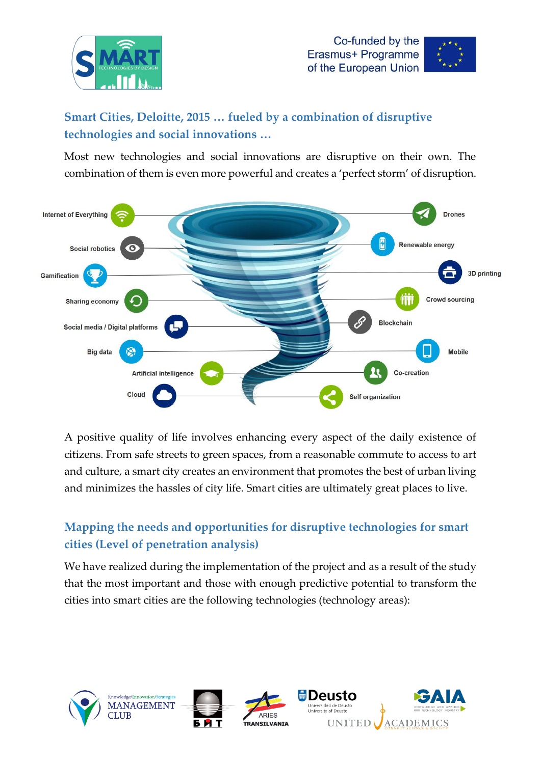





## **Smart Cities, Deloitte, 2015 … fueled by a combination of disruptive technologies and social innovations …**

Most new technologies and social innovations are disruptive on their own. The combination of them is even more powerful and creates a 'perfect storm' of disruption.



A positive quality of life involves enhancing every aspect of the daily existence of citizens. From safe streets to green spaces, from a reasonable commute to access to art and culture, a smart city creates an environment that promotes the best of urban living and minimizes the hassles of city life. Smart cities are ultimately great places to live.

## **Mapping the needs and opportunities for disruptive technologies for smart cities (Level of penetration analysis)**

We have realized during the implementation of the project and as a result of the study that the most important and those with enough predictive potential to transform the cities into smart cities are the following technologies (technology areas):